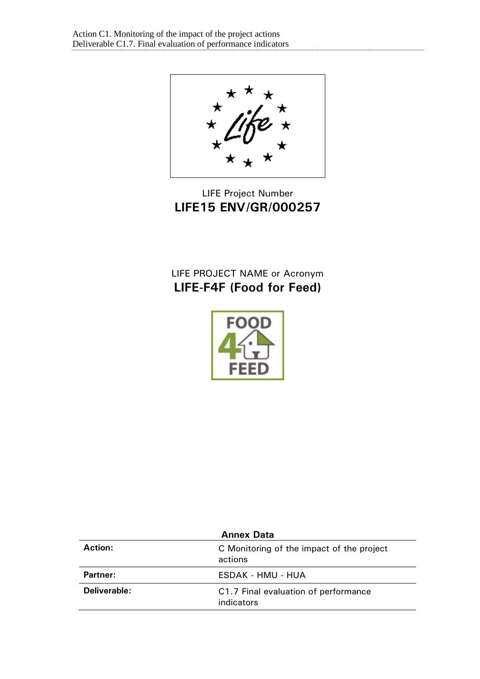★ х

# LIFE Project Number **LIFE15 ENV/GR/000257**

# LIFE PROJECT NAME or Acronym **LIFE-F4F (Food for Feed)**



| <b>Annex Data</b> |                                                      |  |
|-------------------|------------------------------------------------------|--|
| Action:           | C Monitoring of the impact of the project<br>actions |  |
| Partner:          | ESDAK - HMU - HUA                                    |  |
| Deliverable:      | C1.7 Final evaluation of performance<br>indicators   |  |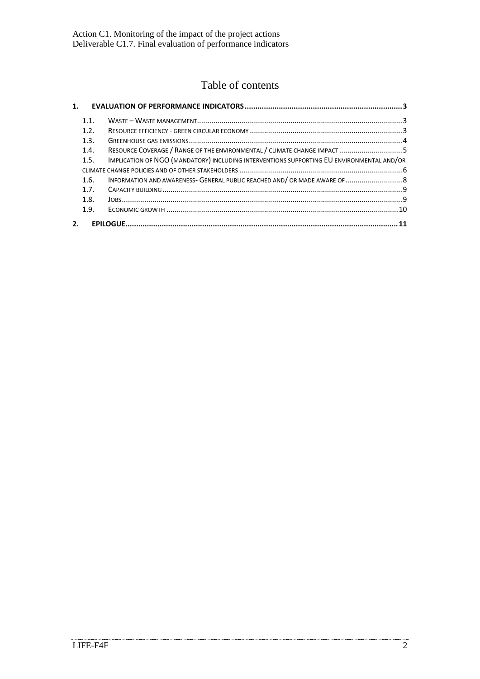# Table of contents

| 1 <sup>1</sup> |      |                                                                                           |  |
|----------------|------|-------------------------------------------------------------------------------------------|--|
|                | 1.1. |                                                                                           |  |
|                | 1.2. |                                                                                           |  |
|                | 1.3. |                                                                                           |  |
|                | 1.4. |                                                                                           |  |
|                | 1.5. | IMPLICATION OF NGO (MANDATORY) INCLUDING INTERVENTIONS SUPPORTING EU ENVIRONMENTAL AND/OR |  |
|                |      |                                                                                           |  |
|                | 1.6. | INFORMATION AND AWARENESS- GENERAL PUBLIC REACHED AND/ OR MADE AWARE OF  8                |  |
|                | 17   |                                                                                           |  |
|                | 1.8. |                                                                                           |  |
|                | 1.9. |                                                                                           |  |
| 2.             |      |                                                                                           |  |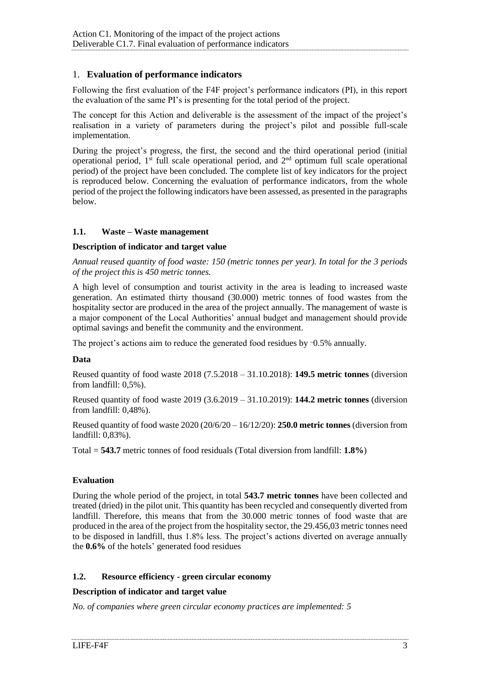# <span id="page-2-0"></span>1. **Evaluation of performance indicators**

Following the first evaluation of the F4F project's performance indicators (PI), in this report the evaluation of the same PI's is presenting for the total period of the project.

The concept for this Action and deliverable is the assessment of the impact of the project's realisation in a variety of parameters during the project's pilot and possible full-scale implementation.

During the project's progress, the first, the second and the third operational period (initial operational period,  $1<sup>st</sup>$  full scale operational period, and  $2<sup>nd</sup>$  optimum full scale operational period) of the project have been concluded. The complete list of key indicators for the project is reproduced below. Concerning the evaluation of performance indicators, from the whole period of the project the following indicators have been assessed, as presented in the paragraphs below.

## <span id="page-2-1"></span>**1.1. Waste – Waste management**

## **Description of indicator and target value**

*Annual reused quantity of food waste: 150 (metric tonnes per year). In total for the 3 periods of the project this is 450 metric tonnes.* 

A high level of consumption and tourist activity in the area is leading to increased waste generation. An estimated thirty thousand (30.000) metric tonnes of food wastes from the hospitality sector are produced in the area of the project annually. The management of waste is a major component of the Local Authorities' annual budget and management should provide optimal savings and benefit the community and the environment.

The project's actions aim to reduce the generated food residues by ~0.5% annually.

#### **Data**

Reused quantity of food waste 2018 (7.5.2018 – 31.10.2018): **149.5 metric tonnes** (diversion from landfill: 0,5%).

Reused quantity of food waste 2019 (3.6.2019 – 31.10.2019): **144.2 metric tonnes** (diversion from landfill: 0,48%).

Reused quantity of food waste 2020 (20/6/20 – 16/12/20): **250.0 metric tonnes** (diversion from landfill: 0,83%).

Total = **543.7** metric tonnes of food residuals (Total diversion from landfill: **1.8%**)

# **Evaluation**

During the whole period of the project, in total **543.7 metric tonnes** have been collected and treated (dried) in the pilot unit. This quantity has been recycled and consequently diverted from landfill. Therefore, this means that from the 30.000 metric tonnes of food waste that are produced in the area of the project from the hospitality sector, the 29.456,03 metric tonnes need to be disposed in landfill, thus 1.8% less. The project's actions diverted on average annually the **0.6%** of the hotels' generated food residues

# <span id="page-2-2"></span>**1.2. Resource efficiency - green circular economy**

#### **Description of indicator and target value**

*No. of companies where green circular economy practices are implemented: 5*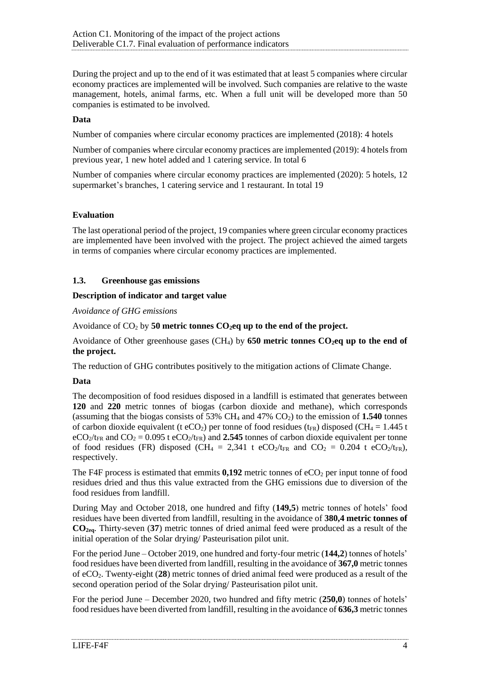During the project and up to the end of it was estimated that at least 5 companies where circular economy practices are implemented will be involved. Such companies are relative to the waste management, hotels, animal farms, etc. When a full unit will be developed more than 50 companies is estimated to be involved.

## **Data**

Number of companies where circular economy practices are implemented (2018): 4 hotels

Number of companies where circular economy practices are implemented (2019): 4 hotels from previous year, 1 new hotel added and 1 catering service. In total 6

Number of companies where circular economy practices are implemented (2020): 5 hotels, 12 supermarket's branches, 1 catering service and 1 restaurant. In total 19

## **Evaluation**

The last operational period of the project, 19 companies where green circular economy practices are implemented have been involved with the project. The project achieved the aimed targets in terms of companies where circular economy practices are implemented.

## <span id="page-3-0"></span>**1.3. Greenhouse gas emissions**

## **Description of indicator and target value**

*Avoidance of GHG emissions*

Avoidance of CO<sup>2</sup> by **50 metric tonnes CO2eq up to the end of the project.** 

Avoidance of Other greenhouse gases (CH4) by **650 metric tonnes CO2eq up to the end of the project.** 

The reduction of GHG contributes positively to the mitigation actions of Climate Change.

# **Data**

The decomposition of food residues disposed in a landfill is estimated that generates between **120** and **220** metric tonnes of biogas (carbon dioxide and methane), which corresponds (assuming that the biogas consists of 53% CH<sup>4</sup> and 47% CO2) to the emission of **1.540** tonnes of carbon dioxide equivalent (t eCO<sub>2</sub>) per tonne of food residues ( $t_{FR}$ ) disposed (CH<sub>4</sub> = 1.445 t  $eCO<sub>2</sub>/t<sub>FR</sub>$  and  $CO<sub>2</sub> = 0.095$  t  $eCO<sub>2</sub>/t<sub>FR</sub>$ ) and 2.545 tonnes of carbon dioxide equivalent per tonne of food residues (FR) disposed (CH<sub>4</sub> = 2,341 t eCO<sub>2</sub>/t<sub>FR</sub> and CO<sub>2</sub> = 0.204 t eCO<sub>2</sub>/t<sub>FR</sub>), respectively.

The F4F process is estimated that emmits  $0.192$  metric tonnes of eCO<sub>2</sub> per input tonne of food residues dried and thus this value extracted from the GHG emissions due to diversion of the food residues from landfill.

During May and October 2018, one hundred and fifty (**149,5**) metric tonnes of hotels' food residues have been diverted from landfill, resulting in the avoidance of **380,4 metric tonnes of CO2eq**. Thirty-seven (**37**) metric tonnes of dried animal feed were produced as a result of the initial operation of the Solar drying/ Pasteurisation pilot unit.

For the period June – October 2019, one hundred and forty-four metric (**144,2**) tonnes of hotels' food residues have been diverted from landfill, resulting in the avoidance of **367,0** metric tonnes of eCO2. Twenty-eight (**28**) metric tonnes of dried animal feed were produced as a result of the second operation period of the Solar drying/ Pasteurisation pilot unit.

For the period June – December 2020, two hundred and fifty metric (**250,0**) tonnes of hotels' food residues have been diverted from landfill, resulting in the avoidance of **636,3** metric tonnes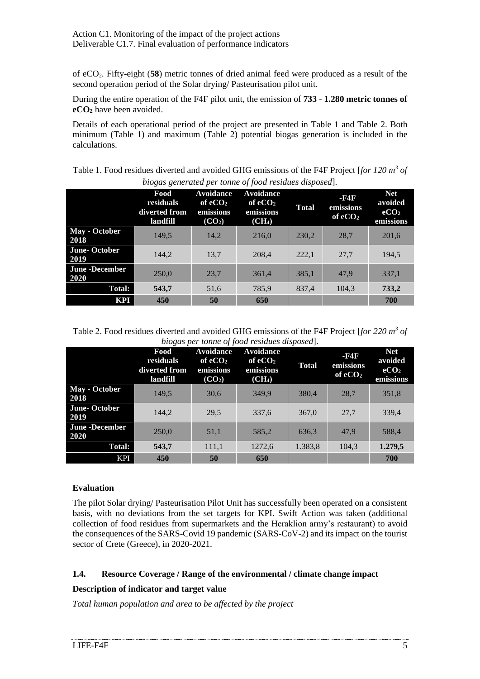of eCO2. Fifty-eight (**58**) metric tonnes of dried animal feed were produced as a result of the second operation period of the Solar drying/ Pasteurisation pilot unit.

During the entire operation of the F4F pilot unit, the emission of **733** - **1.280 metric tonnes of eCO<sup>2</sup>** have been avoided.

Details of each operational period of the project are presented in [Table 1](#page-4-1) and [Table 2.](#page-4-2) Both minimum [\(Table 1\)](#page-4-1) and maximum [\(Table 2\)](#page-4-2) potential biogas generation is included in the calculations.

<span id="page-4-1"></span>Table 1. Food residues diverted and avoided GHG emissions of the F4F Project [*for 120 m<sup>3</sup> of biogas generated per tonne of food residues disposed*].

|                               | Food<br>residuals<br>diverted from<br>landfill | <b>Avoidance</b><br>of eCO <sub>2</sub><br>emissions<br>(CO <sub>2</sub> ) | <b>Avoidance</b><br>of $eCO2$<br>emissions<br>(CH <sub>4</sub> ) | <b>Total</b> | -R4F<br>emissions<br>of $eCO2$ | <b>Net</b><br>avoided<br>eCO <sub>2</sub><br>emissions |
|-------------------------------|------------------------------------------------|----------------------------------------------------------------------------|------------------------------------------------------------------|--------------|--------------------------------|--------------------------------------------------------|
| May - October<br>2018         | 149,5                                          | 14,2                                                                       | 216,0                                                            | 230,2        | 28,7                           | 201,6                                                  |
| <b>June-October</b><br>2019   | 144,2                                          | 13,7                                                                       | 208,4                                                            | 222,1        | 27,7                           | 194,5                                                  |
| <b>June -December</b><br>2020 | 250,0                                          | 23,7                                                                       | 361,4                                                            | 385,1        | 47,9                           | 337,1                                                  |
| <b>Total:</b>                 | 543,7                                          | 51,6                                                                       | 785,9                                                            | 837,4        | 104,3                          | 733,2                                                  |
| KPI                           | 450                                            | 50                                                                         | 650                                                              |              |                                | 700                                                    |

<span id="page-4-2"></span>Table 2. Food residues diverted and avoided GHG emissions of the F4F Project [*for 220 m<sup>3</sup> of biogas per tonne of food residues disposed*].

|                               | Food<br>residuals<br>diverted from<br>landfill | <b>Avoidance</b><br>of $eCO2$<br>emissions<br>(CO <sub>2</sub> ) | <b>Avoidance</b><br>of $eCO2$<br>emissions<br>(CH <sub>4</sub> ) | <b>Total</b> | -R4F<br>emissions<br>of $eCO2$ | <b>Net</b><br>avoided<br>eCO <sub>2</sub><br>emissions |
|-------------------------------|------------------------------------------------|------------------------------------------------------------------|------------------------------------------------------------------|--------------|--------------------------------|--------------------------------------------------------|
| May - October<br>2018         | 149.5                                          | 30,6                                                             | 349.9                                                            | 380,4        | 28,7                           | 351,8                                                  |
| <b>June-October</b><br>2019   | 144,2                                          | 29,5                                                             | 337,6                                                            | 367,0        | 27.7                           | 339,4                                                  |
| <b>June -December</b><br>2020 | 250,0                                          | 51,1                                                             | 585,2                                                            | 636,3        | 47.9                           | 588,4                                                  |
| <b>Total:</b>                 | 543,7                                          | 111,1                                                            | 1272,6                                                           | 1.383,8      | 104,3                          | 1.279,5                                                |
| <b>KPI</b>                    | 450                                            | 50                                                               | 650                                                              |              |                                | 700                                                    |

# **Evaluation**

The pilot Solar drying/ Pasteurisation Pilot Unit has successfully been operated on a consistent basis, with no deviations from the set targets for KPI. Swift Action was taken (additional collection of food residues from supermarkets and the Heraklion army's restaurant) to avoid the consequences of the SARS-Covid 19 pandemic (SARS-CoV-2) and its impact on the tourist sector of Crete (Greece), in 2020-2021.

# <span id="page-4-0"></span>**1.4. Resource Coverage / Range of the environmental / climate change impact**

# **Description of indicator and target value**

*Total human population and area to be affected by the project*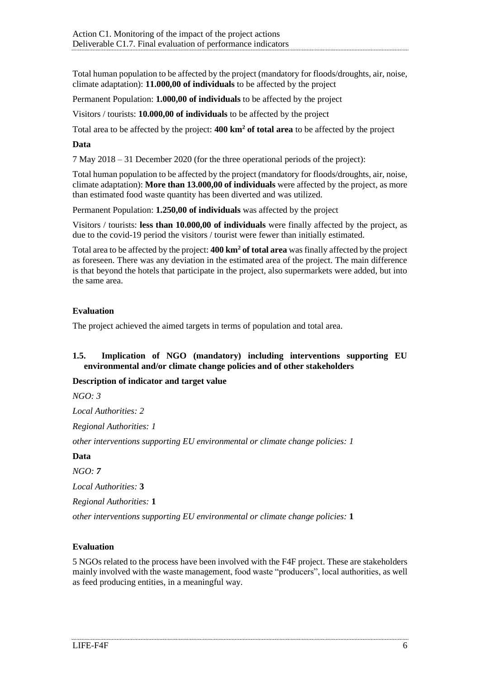Total human population to be affected by the project (mandatory for floods/droughts, air, noise, climate adaptation): **11.000,00 of individuals** to be affected by the project

Permanent Population: **1.000,00 of individuals** to be affected by the project

Visitors / tourists: **10.000,00 of individuals** to be affected by the project

Total area to be affected by the project: **400 km<sup>2</sup> of total area** to be affected by the project

#### **Data**

7 May 2018 – 31 December 2020 (for the three operational periods of the project):

Total human population to be affected by the project (mandatory for floods/droughts, air, noise, climate adaptation): **More than 13.000,00 of individuals** were affected by the project, as more than estimated food waste quantity has been diverted and was utilized.

Permanent Population: **1.250,00 of individuals** was affected by the project

Visitors / tourists: **less than 10.000,00 of individuals** were finally affected by the project, as due to the covid-19 period the visitors / tourist were fewer than initially estimated.

Total area to be affected by the project: **400 km<sup>2</sup> of total area** was finally affected by the project as foreseen. There was any deviation in the estimated area of the project. The main difference is that beyond the hotels that participate in the project, also supermarkets were added, but into the same area.

## **Evaluation**

The project achieved the aimed targets in terms of population and total area.

## <span id="page-5-0"></span>**1.5. Implication of NGO (mandatory) including interventions supporting EU environmental and/or climate change policies and of other stakeholders**

# **Description of indicator and target value**

*NGO: 3*

*Local Authorities: 2*

*Regional Authorities: 1*

*other interventions supporting EU environmental or climate change policies: 1*

#### **Data**

*NGO: 7*

*Local Authorities:* **3**

*Regional Authorities:* **1**

*other interventions supporting EU environmental or climate change policies:* **1**

# **Evaluation**

5 NGOs related to the process have been involved with the F4F project. These are stakeholders mainly involved with the waste management, food waste "producers", local authorities, as well as feed producing entities, in a meaningful way.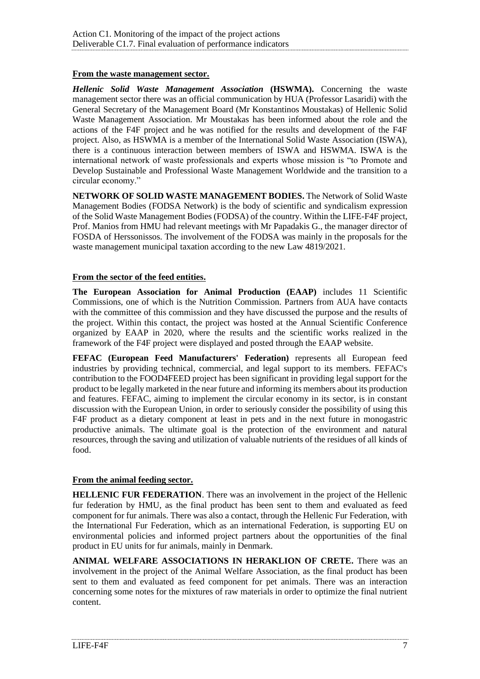# **From the waste management sector.**

*Hellenic Solid Waste Management Association* **(HSWMA).** Concerning the waste management sector there was an official communication by HUA (Professor Lasaridi) with the General Secretary of the Management Board (Mr Konstantinos Moustakas) of Hellenic Solid Waste Management Association. Mr Moustakas has been informed about the role and the actions of the F4F project and he was notified for the results and development of the F4F project. Also, as HSWMA is a member of the International Solid Waste Association (ISWA), there is a continuous interaction between members of ISWA and HSWMA. ISWA is the international network of waste professionals and experts whose mission is "to Promote and Develop Sustainable and Professional Waste Management Worldwide and the transition to a circular economy."

**NETWORK OF SOLID WASTE MANAGEMENT BODIES.** The Network of Solid Waste Management Bodies (FODSA Network) is the body of scientific and syndicalism expression of the Solid Waste Management Bodies (FODSA) of the country. Within the LIFE-F4F project, Prof. Manios from HMU had relevant meetings with Mr Papadakis G., the manager director of FOSDA of Herssonissos. The involvement of the FODSA was mainly in the proposals for the waste management municipal taxation according to the new Law 4819/2021.

## **From the sector of the feed entities.**

**The European Association for Animal Production (EAAP)** includes 11 Scientific Commissions, one of which is the Nutrition Commission. Partners from AUA have contacts with the committee of this commission and they have discussed the purpose and the results of the project. Within this contact, the project was hosted at the Annual Scientific Conference organized by EAAP in 2020, where the results and the scientific works realized in the framework of the F4F project were displayed and posted through the EAAP website.

**FEFAC (European Feed Manufacturers' Federation)** represents all European feed industries by providing technical, commercial, and legal support to its members. FEFAC's contribution to the FOOD4FEED project has been significant in providing legal support for the product to be legally marketed in the near future and informing its members about its production and features. FEFAC, aiming to implement the circular economy in its sector, is in constant discussion with the European Union, in order to seriously consider the possibility of using this F4F product as a dietary component at least in pets and in the next future in monogastric productive animals. The ultimate goal is the protection of the environment and natural resources, through the saving and utilization of valuable nutrients of the residues of all kinds of food.

#### **From the animal feeding sector.**

**HELLENIC FUR FEDERATION**. There was an involvement in the project of the Hellenic fur federation by HMU, as the final product has been sent to them and evaluated as feed component for fur animals. There was also a contact, through the Hellenic Fur Federation, with the International Fur Federation, which as an international Federation, is supporting EU on environmental policies and informed project partners about the opportunities of the final product in EU units for fur animals, mainly in Denmark.

**ANIMAL WELFARE ASSOCIATIONS IN HERAKLION OF CRETE.** There was an involvement in the project of the Animal Welfare Association, as the final product has been sent to them and evaluated as feed component for pet animals. There was an interaction concerning some notes for the mixtures of raw materials in order to optimize the final nutrient content.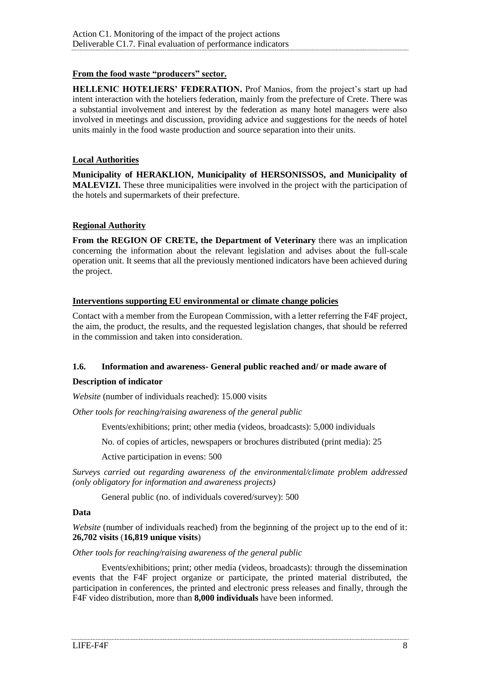# **From the food waste "producers" sector.**

**HELLENIC HOTELIERS' FEDERATION.** Prof Manios, from the project's start up had intent interaction with the hoteliers federation, mainly from the prefecture of Crete. There was a substantial involvement and interest by the federation as many hotel managers were also involved in meetings and discussion, providing advice and suggestions for the needs of hotel units mainly in the food waste production and source separation into their units.

## **Local Authorities**

**Municipality of HERAKLION, Municipality of HERSONISSOS, and Municipality of MALEVIZI.** These three municipalities were involved in the project with the participation of the hotels and supermarkets of their prefecture.

## **Regional Authority**

**From the REGION OF CRETE, the Department of Veterinary** there was an implication concerning the information about the relevant legislation and advises about the full-scale operation unit. It seems that all the previously mentioned indicators have been achieved during the project.

## **Interventions supporting EU environmental or climate change policies**

Contact with a member from the European Commission, with a letter referring the F4F project, the aim, the product, the results, and the requested legislation changes, that should be referred in the commission and taken into consideration.

# <span id="page-7-0"></span>**1.6. Information and awareness- General public reached and/ or made aware of**

#### **Description of indicator**

*Website* (number of individuals reached): 15.000 visits

*Other tools for reaching/raising awareness of the general public*

Events/exhibitions; print; other media (videos, broadcasts): 5,000 individuals

No. of copies of articles, newspapers or brochures distributed (print media): 25

Active participation in evens: 500

*Surveys carried out regarding awareness of the environmental/climate problem addressed (only obligatory for information and awareness projects)*

General public (no. of individuals covered/survey): 500

#### **Data**

*Website* (number of individuals reached) from the beginning of the project up to the end of it: **26,702 visits** (**16,819 unique visits**)

## *Other tools for reaching/raising awareness of the general public*

Events/exhibitions; print; other media (videos, broadcasts): through the dissemination events that the F4F project organize or participate, the printed material distributed, the participation in conferences, the printed and electronic press releases and finally, through the F4F video distribution, more than **8,000 individuals** have been informed.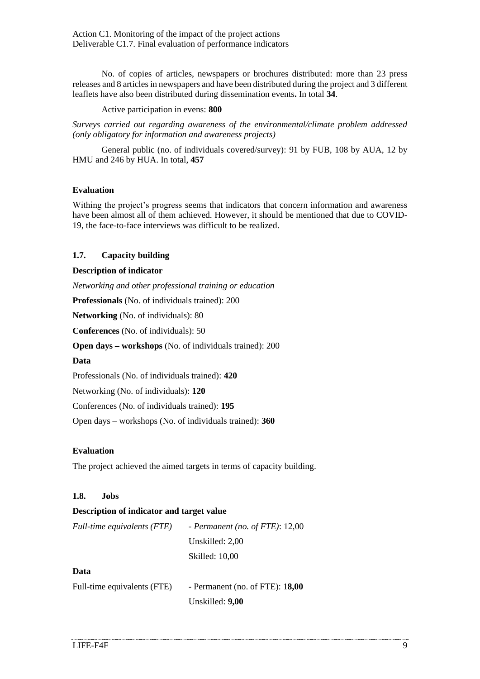No. of copies of articles, newspapers or brochures distributed: more than 23 press releases and 8 articles in newspapers and have been distributed during the project and 3 different leaflets have also been distributed during dissemination events**.** In total **34**.

Active participation in evens: **800**

*Surveys carried out regarding awareness of the environmental/climate problem addressed (only obligatory for information and awareness projects)*

General public (no. of individuals covered/survey): 91 by FUB, 108 by AUA, 12 by HMU and 246 by HUA. In total, **457**

## **Evaluation**

Withing the project's progress seems that indicators that concern information and awareness have been almost all of them achieved. However, it should be mentioned that due to COVID-19, the face-to-face interviews was difficult to be realized.

# <span id="page-8-0"></span>**1.7. Capacity building**

## **Description of indicator**

*Networking and other professional training or education*

**Professionals** (No. of individuals trained): 200

**Networking** (No. of individuals): 80

**Conferences** (No. of individuals): 50

**Open days – workshops** (No. of individuals trained): 200

#### **Data**

Professionals (No. of individuals trained): **420**

Networking (No. of individuals): **120**

Conferences (No. of individuals trained): **195**

Open days – workshops (No. of individuals trained): **360**

#### **Evaluation**

The project achieved the aimed targets in terms of capacity building.

#### <span id="page-8-1"></span>**1.8. Jobs**

#### **Description of indicator and target value**

| Full-time equivalents (FTE) | - Permanent (no. of FTE): $12,00$ |
|-----------------------------|-----------------------------------|
|                             | Unskilled: 2,00                   |
|                             | Skilled: 10,00                    |
|                             |                                   |

#### **Data**

| Full-time equivalents (FTE) | - Permanent (no. of FTE): $18,00$ |
|-----------------------------|-----------------------------------|
|                             | Unskilled: 9,00                   |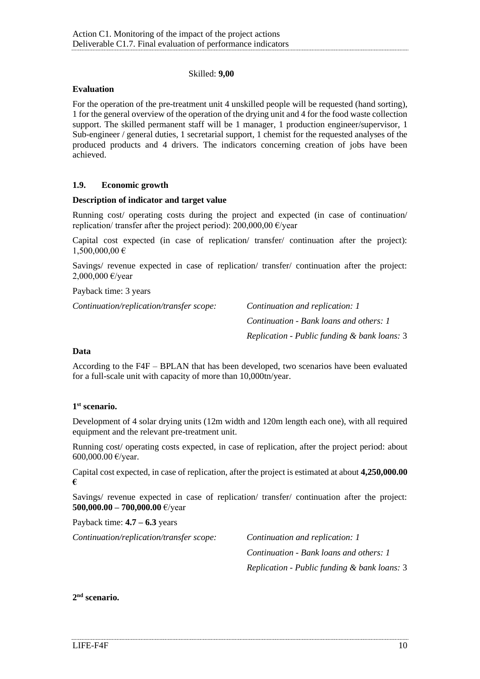#### Skilled: **9,00**

#### **Evaluation**

For the operation of the pre-treatment unit 4 unskilled people will be requested (hand sorting), 1 for the general overview of the operation of the drying unit and 4 for the food waste collection support. The skilled permanent staff will be 1 manager, 1 production engineer/supervisor, 1 Sub-engineer / general duties, 1 secretarial support, 1 chemist for the requested analyses of the produced products and 4 drivers. The indicators concerning creation of jobs have been achieved.

## <span id="page-9-0"></span>**1.9. Economic growth**

#### **Description of indicator and target value**

Running cost/ operating costs during the project and expected (in case of continuation/ replication/ transfer after the project period):  $200,000,00 \in \text{/year}$ 

Capital cost expected (in case of replication/ transfer/ continuation after the project):  $1,500,000,00 \in$ 

Savings/ revenue expected in case of replication/ transfer/ continuation after the project: 2,000,000 €/year

Payback time: 3 years

*Continuation/replication/transfer scope: Continuation and replication: 1*

*Continuation - Bank loans and others: 1 Replication - Public funding & bank loans:* 3

#### **Data**

According to the F4F – BPLAN that has been developed, two scenarios have been evaluated for a full-scale unit with capacity of more than 10,000tn/year.

#### **1 st scenario.**

Development of 4 solar drying units (12m width and 120m length each one), with all required equipment and the relevant pre-treatment unit.

Running cost/ operating costs expected, in case of replication, after the project period: about 600,000.00 €/year.

Capital cost expected, in case of replication, after the project is estimated at about **4,250,000.00 €**

Savings/ revenue expected in case of replication/ transfer/ continuation after the project: **500,000.00 – 700,000.00** €/year

Payback time: **4.7 – 6.3** years

*Continuation/replication/transfer scope: Continuation and replication: 1*

*Continuation - Bank loans and others: 1 Replication - Public funding & bank loans:* 3

## **2 nd scenario.**